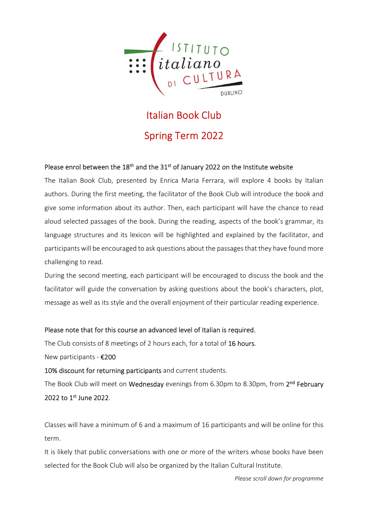

# Italian Book Club Spring Term 2022

#### Please enrol between the  $18<sup>th</sup>$  and the  $31<sup>st</sup>$  of January 2022 on the Institute website

The Italian Book Club, presented by Enrica Maria Ferrara, will explore 4 books by Italian authors. During the first meeting, the facilitator of the Book Club will introduce the book and give some information about its author. Then, each participant will have the chance to read aloud selected passages of the book. During the reading, aspects of the book's grammar, its language structures and its lexicon will be highlighted and explained by the facilitator, and participants will be encouraged to ask questions about the passages that they have found more challenging to read.

During the second meeting, each participant will be encouraged to discuss the book and the facilitator will guide the conversation by asking questions about the book's characters, plot, message as well as its style and the overall enjoyment of their particular reading experience.

Please note that for this course an advanced level of Italian is required.

The Club consists of 8 meetings of 2 hours each, for a total of 16 hours.

New participants - €200

10% discount for returning participants and current students.

The Book Club will meet on Wednesday evenings from 6.30pm to 8.30pm, from 2<sup>nd</sup> February 2022 to 1st June 2022.

Classes will have a minimum of 6 and a maximum of 16 participants and will be online for this term.

It is likely that public conversations with one or more of the writers whose books have been selected for the Book Club will also be organized by the Italian Cultural Institute.